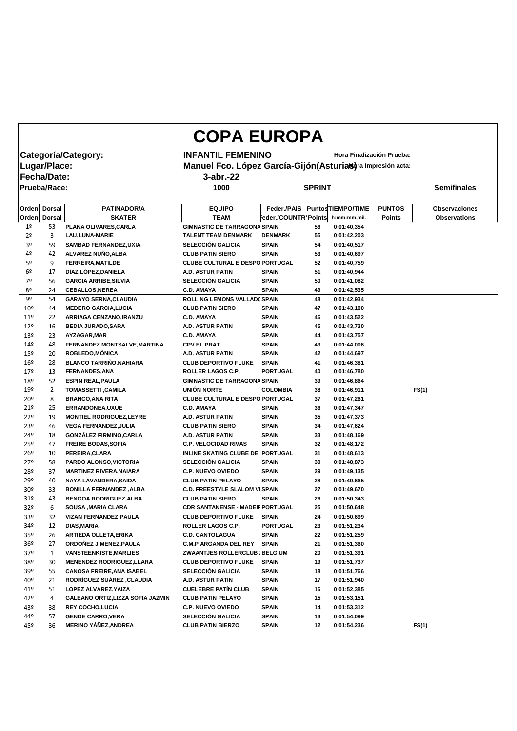|                                  |              |                                                     | <b>COPA EUROPA</b>                                                |                                |               |                            |               |       |                      |
|----------------------------------|--------------|-----------------------------------------------------|-------------------------------------------------------------------|--------------------------------|---------------|----------------------------|---------------|-------|----------------------|
|                                  |              | Categoría/Category:                                 | <b>INFANTIL FEMENINO</b>                                          |                                |               | Hora Finalización Prueba:  |               |       |                      |
|                                  |              |                                                     |                                                                   |                                |               |                            |               |       |                      |
|                                  | Lugar/Place: |                                                     | Manuel Fco. López García-Gijón (Asturias) ra Impresión acta:      |                                |               |                            |               |       |                      |
| Fecha/Date:                      |              |                                                     | $3$ -abr.-22                                                      |                                |               |                            |               |       |                      |
| <b>Prueba/Race:</b>              |              |                                                     | 1000                                                              |                                | <b>SPRINT</b> |                            |               |       | <b>Semifinales</b>   |
|                                  |              |                                                     |                                                                   |                                |               |                            |               |       |                      |
|                                  | Orden Dorsal | <b>PATINADOR/A</b>                                  | <b>EQUIPO</b>                                                     | Feder./PAIS                    |               | Puntos TIEMPO/TIME         | <b>PUNTOS</b> |       | <b>Observaciones</b> |
|                                  | Orden Dorsal | <b>SKATER</b>                                       | <b>TEAM</b>                                                       | Feder./COUNTR Points           |               | h:mm:mm,mil.               | <b>Points</b> |       | <b>Observations</b>  |
| 1 <sup>o</sup>                   | 53           | PLANA OLIVARES, CARLA                               | <b>GIMNASTIC DE TARRAGONA SPAIN</b>                               |                                | 56            | 0:01:40,354                |               |       |                      |
| 2 <sup>o</sup><br>3 <sup>o</sup> | 3            | <b>LAU, LUNA-MARIE</b>                              | <b>TALENT TEAM DENMARK</b><br><b>SELECCIÓN GALICIA</b>            | <b>DENMARK</b><br><b>SPAIN</b> | 55            | 0:01:42,203                |               |       |                      |
| 4º                               | 59           | <b>SAMBAD FERNANDEZ, UXIA</b><br>ALVAREZ NUÑO, ALBA |                                                                   | <b>SPAIN</b>                   | 54            | 0:01:40,517                |               |       |                      |
| 5º                               | 42           | <b>FERREIRA, MATILDE</b>                            | <b>CLUB PATIN SIERO</b><br><b>CLUBE CULTURAL E DESPO PORTUGAL</b> |                                | 53<br>52      | 0:01:40,697                |               |       |                      |
| 6 <sup>2</sup>                   | 9<br>17      | DÍAZ LÓPEZ, DANIELA                                 | <b>A.D. ASTUR PATIN</b>                                           | <b>SPAIN</b>                   | 51            | 0:01:40,759<br>0:01:40,944 |               |       |                      |
| 7º                               | 56           | <b>GARCIA ARRIBE, SILVIA</b>                        | <b>SELECCIÓN GALICIA</b>                                          | <b>SPAIN</b>                   | 50            | 0:01:41,082                |               |       |                      |
| 8º                               | 24           | <b>CEBALLOS, NEREA</b>                              | <b>C.D. AMAYA</b>                                                 | <b>SPAIN</b>                   | 49            | 0:01:42,535                |               |       |                      |
| 9º                               | 54           | <b>GARAYO SERNA, CLAUDIA</b>                        | <b>ROLLING LEMONS VALLADC SPAIN</b>                               |                                | 48            | 0:01:42,934                |               |       |                      |
| 10 <sup>°</sup>                  | 44           | <b>MEDERO GARCIA, LUCIA</b>                         | <b>CLUB PATIN SIERO</b>                                           | <b>SPAIN</b>                   | 47            | 0:01:43,100                |               |       |                      |
| 11 <sup>°</sup>                  | 22           | ARRIAGA CENZANO, IRANZU                             | <b>C.D. AMAYA</b>                                                 | <b>SPAIN</b>                   | 46            | 0:01:43,522                |               |       |                      |
| 12 <sup>°</sup>                  | 16           | <b>BEDIA JURADO, SARA</b>                           | <b>A.D. ASTUR PATIN</b>                                           | <b>SPAIN</b>                   | 45            | 0:01:43,730                |               |       |                      |
| 13º                              | 23           | AYZAGAR, MAR                                        | <b>C.D. AMAYA</b>                                                 | <b>SPAIN</b>                   | 44            | 0:01:43,757                |               |       |                      |
| 14º                              | 48           | FERNANDEZ MONTSALVE, MARTINA                        | <b>CPV EL PRAT</b>                                                | <b>SPAIN</b>                   | 43            | 0:01:44,006                |               |       |                      |
| 15º                              | 20           | ROBLEDO, MÓNICA                                     | <b>A.D. ASTUR PATIN</b>                                           | <b>SPAIN</b>                   | 42            | 0:01:44,697                |               |       |                      |
| 16º                              | 28           | <b>BLANCO TARRIÑO, NAHIARA</b>                      | <b>CLUB DEPORTIVO FLUKE</b>                                       | <b>SPAIN</b>                   | 41            | 0:01:46,381                |               |       |                      |
| 179                              | 13           | <b>FERNANDES, ANA</b>                               | <b>ROLLER LAGOS C.P.</b>                                          | <b>PORTUGAL</b>                | 40            | 0:01:46,780                |               |       |                      |
| 18º                              | 52           | <b>ESPIN REAL, PAULA</b>                            | <b>GIMNASTIC DE TARRAGONA SPAIN</b>                               |                                | 39            | 0:01:46,864                |               |       |                      |
| 19º                              | 2            | <b>TOMASSETTI, CAMILA</b>                           | <b>UNIÓN NORTE</b>                                                | <b>COLOMBIA</b>                | 38            | 0:01:46,911                |               | FS(1) |                      |
| 20º                              | 8            | <b>BRANCO, ANA RITA</b>                             | <b>CLUBE CULTURAL E DESPO PORTUGAL</b>                            |                                | 37            | 0:01:47,261                |               |       |                      |
| 21°                              | 25           | <b>ERRANDONEA,UXUE</b>                              | <b>C.D. AMAYA</b>                                                 | <b>SPAIN</b>                   | 36            | 0:01:47,347                |               |       |                      |
| 22º                              | 19           | <b>MONTIEL RODRIGUEZ, LEYRE</b>                     | A.D. ASTUR PATIN                                                  | <b>SPAIN</b>                   | 35            | 0:01:47,373                |               |       |                      |
| 23º                              | 46           | <b>VEGA FERNANDEZ, JULIA</b>                        | <b>CLUB PATIN SIERO</b>                                           | <b>SPAIN</b>                   | 34            | 0:01:47,624                |               |       |                      |
| 24º                              | 18           | <b>GONZÁLEZ FIRMINO, CARLA</b>                      | A.D. ASTUR PATIN                                                  | <b>SPAIN</b>                   | 33            | 0:01:48,169                |               |       |                      |
| $25^{\circ}$                     | 47           | <b>FREIRE BODAS, SOFIA</b>                          | <b>C.P. VELOCIDAD RIVAS</b>                                       | <b>SPAIN</b>                   | 32            | 0:01:48,172                |               |       |                      |
| $26^{\circ}$                     | 10           | PEREIRA, CLARA                                      | <b>INLINE SKATING CLUBE DE PORTUGAL</b>                           |                                | 31            | 0:01:48,613                |               |       |                      |
| 27°                              | 58           | PARDO ALONSO, VICTORIA                              | <b>SELECCIÓN GALICIA</b>                                          | <b>SPAIN</b>                   | 30            | 0:01:48,873                |               |       |                      |
| 28º                              | 37           | <b>MARTINEZ RIVERA, NAIARA</b>                      | <b>C.P. NUEVO OVIEDO</b>                                          | <b>SPAIN</b>                   | 29            | 0:01:49,135                |               |       |                      |
| 29º                              | 40           | NAYA LAVANDERA, SAIDA                               | <b>CLUB PATIN PELAYO</b>                                          | <b>SPAIN</b>                   | 28            | 0:01:49,665                |               |       |                      |
| 30 <sup>°</sup>                  | 33           | <b>BONILLA FERNANDEZ, ALBA</b>                      | <b>C.D. FREESTYLE SLALOM VISPAIN</b>                              |                                | 27            | 0:01:49,670                |               |       |                      |
| 31 <sup>°</sup>                  | 43           | <b>BENGOA RODRIGUEZ, ALBA</b>                       | <b>CLUB PATIN SIERO</b>                                           | <b>SPAIN</b>                   | 26            | 0:01:50,343                |               |       |                      |
| 32 <sup>o</sup>                  | 6            | <b>SOUSA , MARIA CLARA</b>                          | <b>CDR SANTANENSE - MADEIF PORTUGAL</b>                           |                                | 25            | 0:01:50,648                |               |       |                      |
| 33 <sup>°</sup>                  | 32           | <b>VIZAN FERNANDEZ, PAULA</b>                       | <b>CLUB DEPORTIVO FLUKE</b>                                       | <b>SPAIN</b>                   | 24            | 0:01:50,699                |               |       |                      |
| 34º                              | 12           | <b>DIAS, MARIA</b>                                  | ROLLER LAGOS C.P.                                                 | <b>PORTUGAL</b>                | 23            | 0:01:51,234                |               |       |                      |
| 35 <sup>°</sup>                  | 26           | <b>ARTIEDA OLLETA, ERIKA</b>                        | <b>C.D. CANTOLAGUA</b>                                            | <b>SPAIN</b>                   | 22            | 0:01:51,259                |               |       |                      |
| 36 <sup>°</sup>                  | 27           | ORDOÑEZ JIMENEZ, PAULA                              | <b>C.M.P ARGANDA DEL REY</b>                                      | <b>SPAIN</b>                   | 21            | 0:01:51,360                |               |       |                      |
| 37 <sup>°</sup>                  | 1            | <b>VANSTEENKISTE, MARLIES</b>                       | ZWAANTJES ROLLERCLUB ; BELGIUM                                    |                                | 20            | 0:01:51,391                |               |       |                      |
| 38º                              | 30           | <b>MENENDEZ RODRIGUEZ, LLARA</b>                    | <b>CLUB DEPORTIVO FLUKE</b>                                       | <b>SPAIN</b>                   | 19            | 0:01:51,737                |               |       |                      |
| 39º                              | 55           | <b>CANOSA FREIRE, ANA ISABEL</b>                    | <b>SELECCIÓN GALICIA</b>                                          | <b>SPAIN</b>                   | 18            | 0:01:51,766                |               |       |                      |
| 40º                              | 21           | <b>RODRÍGUEZ SUÁREZ , CLAUDIA</b>                   | A.D. ASTUR PATIN                                                  | <b>SPAIN</b>                   | 17            | 0:01:51,940                |               |       |                      |
| 41º                              | 51           | LOPEZ ALVAREZ, YAIZA                                | <b>CUELEBRE PATÍN CLUB</b>                                        | <b>SPAIN</b>                   | 16            | 0:01:52,385                |               |       |                      |
| 42°                              | 4            | <b>GALEANO ORTIZ, LIZZA SOFIA JAZMIN</b>            | <b>CLUB PATIN PELAYO</b>                                          | <b>SPAIN</b>                   | 15            | 0:01:53,151                |               |       |                      |
| 43º                              | 38           | <b>REY COCHO,LUCIA</b>                              | <b>C.P. NUEVO OVIEDO</b>                                          | <b>SPAIN</b>                   | 14            | 0:01:53,312                |               |       |                      |
| 44º                              | 57           | <b>GENDE CARRO, VERA</b>                            | <b>SELECCIÓN GALICIA</b>                                          | <b>SPAIN</b>                   | 13            | 0:01:54,099                |               |       |                      |
| 45º                              | 36           | <b>MERINO YÁÑEZ, ANDREA</b>                         | <b>CLUB PATIN BIERZO</b>                                          | <b>SPAIN</b>                   | 12            | 0:01:54,236                |               | FS(1) |                      |

 $\mathbf{I}$